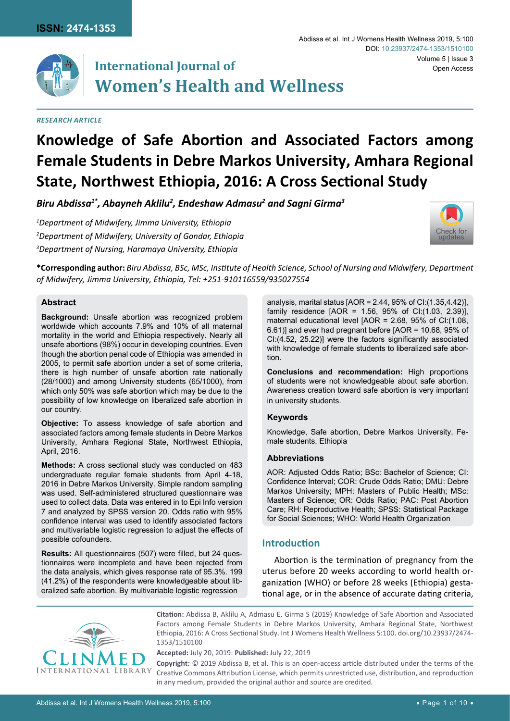

# **International Journal of Women's Health and Wellness**

#### *Research Article*

#### Abdissa et al. Int J Womens Health Wellness 2019, 5:100 Volume 5 | Issue 3 DOI: [10.23937/2474-1353/1510](https://doi.org/10.23937/2474-1353/1510100)100 Open Access



*Biru Abdissa1\*, Abayneh Aklilu2 , Endeshaw Admasu2 and Sagni Girma3*

*1 Department of Midwifery, Jimma University, Ethiopia 2 Department of Midwifery, University of Gondar, Ethiopia 3 Department of Nursing, Haramaya University, Ethiopia*



**\*Corresponding author:** *Biru Abdissa, BSc, MSc, Institute of Health Science, School of Nursing and Midwifery, Department of Midwifery, Jimma University, Ethiopia, Tel: +251-910116559/935027554*

## **Abstract**

**Background:** Unsafe abortion was recognized problem worldwide which accounts 7.9% and 10% of all maternal mortality in the world and Ethiopia respectively. Nearly all unsafe abortions (98%) occur in developing countries. Even though the abortion penal code of Ethiopia was amended in 2005, to permit safe abortion under a set of some criteria, there is high number of unsafe abortion rate nationally (28/1000) and among University students (65/1000), from which only 50% was safe abortion which may be due to the possibility of low knowledge on liberalized safe abortion in our country.

**Objective:** To assess knowledge of safe abortion and associated factors among female students in Debre Markos University, Amhara Regional State, Northwest Ethiopia, April, 2016.

**Methods:** A cross sectional study was conducted on 483 undergraduate regular female students from April 4-18, 2016 in Debre Markos University. Simple random sampling was used. Self-administered structured questionnaire was used to collect data. Data was entered in to Epi Info version 7 and analyzed by SPSS version 20. Odds ratio with 95% confidence interval was used to identify associated factors and multivariable logistic regression to adjust the effects of possible cofounders.

**Results:** All questionnaires (507) were filled, but 24 questionnaires were incomplete and have been rejected from the data analysis, which gives response rate of 95.3%. 199 (41.2%) of the respondents were knowledgeable about liberalized safe abortion. By multivariable logistic regression

analysis, marital status  $[AOR = 2.44, 95\%$  of CI: $(1.35, 4.42)$ ], family residence  $[AOR = 1.56, 95\%$  of CI: $(1.03, 2.39)$ ], maternal educational level [AOR = 2.68, 95% of CI:(1.08, 6.61)] and ever had pregnant before [AOR = 10.68, 95% of CI:(4.52, 25.22)] were the factors significantly associated with knowledge of female students to liberalized safe abortion.

**Conclusions and recommendation:** High proportions of students were not knowledgeable about safe abortion. Awareness creation toward safe abortion is very important in university students.

## **Keywords**

Knowledge, Safe abortion, Debre Markos University, Female students, Ethiopia

#### **Abbreviations**

AOR: Adjusted Odds Ratio; BSc: Bachelor of Science; CI: Confidence Interval; COR: Crude Odds Ratio; DMU: Debre Markos University; MPH: Masters of Public Health; MSc: Masters of Science; OR: Odds Ratio; PAC: Post Abortion Care; RH: Reproductive Health; SPSS: Statistical Package for Social Sciences; WHO: World Health Organization

# **Introduction**

Abortion is the termination of pregnancy from the uterus before 20 weeks according to world health organization (WHO) or before 28 weeks (Ethiopia) gestational age, or in the absence of accurate dating criteria,



**Citation:** Abdissa B, Aklilu A, Admasu E, Girma S (2019) Knowledge of Safe Abortion and Associated Factors among Female Students in Debre Markos University, Amhara Regional State, Northwest Ethiopia, 2016: A Cross Sectional Study. Int J Womens Health Wellness 5:100. [doi.org/10.23937/2474-](https://doi.org/10.23937/2474-1353/1510100) [1353/1510100](https://doi.org/10.23937/2474-1353/1510100)

**Accepted:** July 20, 2019: **Published:** July 22, 2019

**Copyright:** © 2019 Abdissa B, et al. This is an open-access article distributed under the terms of the Creative Commons Attribution License, which permits unrestricted use, distribution, and reproduction in any medium, provided the original author and source are credited.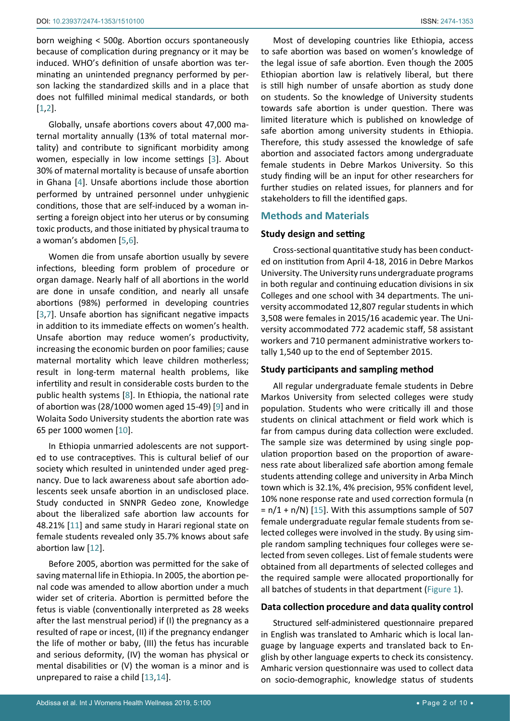born weighing < 500g. Abortion occurs spontaneously because of complication during pregnancy or it may be induced. WHO's definition of unsafe abortion was terminating an unintended pregnancy performed by person lacking the standardized skills and in a place that does not fulfilled minimal medical standards, or both [[1](#page-8-0)[,2](#page-8-1)].

Globally, unsafe abortions covers about 47,000 maternal mortality annually (13% of total maternal mortality) and contribute to significant morbidity among women, especially in low income settings [[3](#page-8-2)]. About 30% of maternal mortality is because of unsafe abortion in Ghana [[4](#page-8-3)]. Unsafe abortions include those abortion performed by untrained personnel under unhygienic conditions, those that are self-induced by a woman inserting a foreign object into her uterus or by consuming toxic products, and those initiated by physical trauma to a woman's abdomen [[5](#page-8-4),[6\]](#page-8-5).

Women die from unsafe abortion usually by severe infections, bleeding form problem of procedure or organ damage. Nearly half of all abortions in the world are done in unsafe condition, and nearly all unsafe abortions (98%) performed in developing countries [[3](#page-8-2),[7\]](#page-8-6). Unsafe abortion has significant negative impacts in addition to its immediate effects on women's health. Unsafe abortion may reduce women's productivity, increasing the economic burden on poor families; cause maternal mortality which leave children motherless; result in long-term maternal health problems, like infertility and result in considerable costs burden to the public health systems [\[8\]](#page-8-7). In Ethiopia, the national rate of abortion was (28/1000 women aged 15-49) [[9\]](#page-8-8) and in Wolaita Sodo University students the abortion rate was 65 per 1000 women [[10](#page-9-1)].

In Ethiopia unmarried adolescents are not supported to use contraceptives. This is cultural belief of our society which resulted in unintended under aged pregnancy. Due to lack awareness about safe abortion adolescents seek unsafe abortion in an undisclosed place. Study conducted in SNNPR Gedeo zone, Knowledge about the liberalized safe abortion law accounts for 48.21% [[11](#page-9-2)] and same study in Harari regional state on female students revealed only 35.7% knows about safe abortion law [[12](#page-9-3)].

Before 2005, abortion was permitted for the sake of saving maternal life in Ethiopia. In 2005, the abortion penal code was amended to allow abortion under a much wider set of criteria. Abortion is permitted before the fetus is viable (conventionally interpreted as 28 weeks after the last menstrual period) if (I) the pregnancy as a resulted of rape or incest, (II) if the pregnancy endanger the life of mother or baby, (III) the fetus has incurable and serious deformity, (IV) the woman has physical or mental disabilities or (V) the woman is a minor and is unprepared to raise a child [[13](#page-9-4),[14\]](#page-9-5).

Most of developing countries like Ethiopia, access to safe abortion was based on women's knowledge of the legal issue of safe abortion. Even though the 2005 Ethiopian abortion law is relatively liberal, but there is still high number of unsafe abortion as study done on students. So the knowledge of University students towards safe abortion is under question. There was limited literature which is published on knowledge of safe abortion among university students in Ethiopia. Therefore, this study assessed the knowledge of safe abortion and associated factors among undergraduate female students in Debre Markos University. So this study finding will be an input for other researchers for further studies on related issues, for planners and for stakeholders to fill the identified gaps.

# **Methods and Materials**

## **Study design and setting**

Cross-sectional quantitative study has been conducted on institution from April 4-18, 2016 in Debre Markos University. The University runs undergraduate programs in both regular and continuing education divisions in six Colleges and one school with 34 departments. The university accommodated 12,807 regular students in which 3,508 were females in 2015/16 academic year. The University accommodated 772 academic staff, 58 assistant workers and 710 permanent administrative workers totally 1,540 up to the end of September 2015.

## **Study participants and sampling method**

All regular undergraduate female students in Debre Markos University from selected colleges were study population. Students who were critically ill and those students on clinical attachment or field work which is far from campus during data collection were excluded. The sample size was determined by using single population proportion based on the proportion of awareness rate about liberalized safe abortion among female students attending college and university in Arba Minch town which is 32.1%, 4% precision, 95% confident level, 10% none response rate and used correction formula (n  $= n/1 + n/N$  [\[15](#page-9-0)]. With this assumptions sample of 507 female undergraduate regular female students from selected colleges were involved in the study. By using simple random sampling techniques four colleges were selected from seven colleges. List of female students were obtained from all departments of selected colleges and the required sample were allocated proportionally for all batches of students in that department (Figure 1).

# **Data collection procedure and data quality control**

Structured self-administered questionnaire prepared in English was translated to Amharic which is local language by language experts and translated back to English by other language experts to check its consistency. Amharic version questionnaire was used to collect data on socio-demographic, knowledge status of students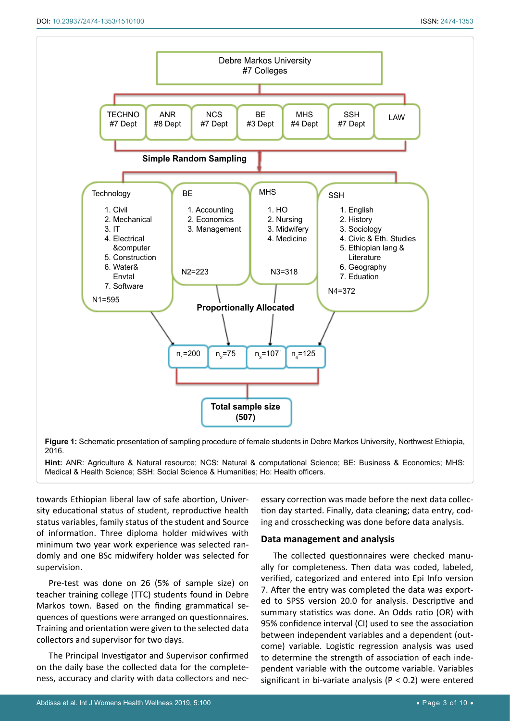Ī



**Figure 1:** Schematic presentation of sampling procedure of female students in Debre Markos University, Northwest Ethiopia, 2016.

**Hint:** ANR: Agriculture & Natural resource; NCS: Natural & computational Science; BE: Business & Economics; MHS: Medical & Health Science; SSH: Social Science & Humanities; Ho: Health officers.

towards Ethiopian liberal law of safe abortion, University educational status of student, reproductive health status variables, family status of the student and Source of information. Three diploma holder midwives with minimum two year work experience was selected randomly and one BSc midwifery holder was selected for supervision.

Pre-test was done on 26 (5% of sample size) on teacher training college (TTC) students found in Debre Markos town. Based on the finding grammatical sequences of questions were arranged on questionnaires. Training and orientation were given to the selected data collectors and supervisor for two days.

The Principal Investigator and Supervisor confirmed on the daily base the collected data for the completeness, accuracy and clarity with data collectors and nec-

essary correction was made before the next data collection day started. Finally, data cleaning; data entry, coding and crosschecking was done before data analysis.

# **Data management and analysis**

The collected questionnaires were checked manually for completeness. Then data was coded, labeled, verified, categorized and entered into Epi Info version 7. After the entry was completed the data was exported to SPSS version 20.0 for analysis. Descriptive and summary statistics was done. An Odds ratio (OR) with 95% confidence interval (CI) used to see the association between independent variables and a dependent (outcome) variable. Logistic regression analysis was used to determine the strength of association of each independent variable with the outcome variable. Variables significant in bi-variate analysis ( $P < 0.2$ ) were entered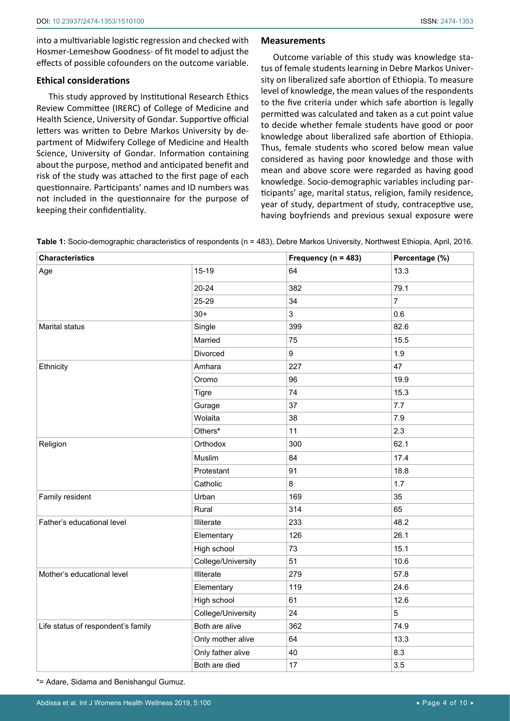into a multivariable logistic regression and checked with Hosmer-Lemeshow Goodness- of fit model to adjust the effects of possible cofounders on the outcome variable.

## **Ethical considerations**

This study approved by Institutional Research Ethics Review Committee (IRERC) of College of Medicine and Health Science, University of Gondar. Supportive official letters was written to Debre Markos University by department of Midwifery College of Medicine and Health Science, University of Gondar. Information containing about the purpose, method and anticipated benefit and risk of the study was attached to the first page of each questionnaire. Participants' names and ID numbers was not included in the questionnaire for the purpose of keeping their confidentiality.

## **Measurements**

Outcome variable of this study was knowledge status of female students learning in Debre Markos University on liberalized safe abortion of Ethiopia. To measure level of knowledge, the mean values of the respondents to the five criteria under which safe abortion is legally permitted was calculated and taken as a cut point value to decide whether female students have good or poor knowledge about liberalized safe abortion of Ethiopia. Thus, female students who scored below mean value considered as having poor knowledge and those with mean and above score were regarded as having good knowledge. Socio-demographic variables including participants' age, marital status, religion, family residence, year of study, department of study, contraceptive use, having boyfriends and previous sexual exposure were

| Table 1: Socio-demographic characteristics of respondents (n = 483), Debre Markos University, Northwest Ethiopia, April, 2016. |  |  |
|--------------------------------------------------------------------------------------------------------------------------------|--|--|
|--------------------------------------------------------------------------------------------------------------------------------|--|--|

| <b>Characteristics</b>             |                    | Frequency ( $n = 483$ ) | Percentage (%) |
|------------------------------------|--------------------|-------------------------|----------------|
| Age                                | $15-19$            | 64                      | 13.3           |
|                                    | $20 - 24$          | 382                     | 79.1           |
|                                    | 25-29              | 34                      | $\overline{7}$ |
|                                    | $30+$              | 3                       | 0.6            |
| Marital status                     | Single             | 399                     | 82.6           |
|                                    | Married            | 75                      | 15.5           |
|                                    | Divorced           | 9                       | 1.9            |
| Ethnicity                          | Amhara             | 227                     | 47             |
|                                    | Oromo              | 96                      | 19.9           |
|                                    | <b>Tigre</b>       | 74                      | 15.3           |
|                                    | Gurage             | 37                      | 7.7            |
|                                    | Wolaita            | 38                      | 7.9            |
|                                    | Others*            | 11                      | 2.3            |
| Religion                           | Orthodox           | 300                     | 62.1           |
|                                    | Muslim             | 84                      | 17.4           |
|                                    | Protestant         | 91                      | 18.8           |
|                                    | Catholic           | 8                       | 1.7            |
| Family resident                    | Urban              | 169                     | 35             |
|                                    | Rural              | 314                     | 65             |
| Father's educational level         | Illiterate         | 233                     | 48.2           |
|                                    | Elementary         | 126                     | 26.1           |
|                                    | High school        | 73                      | 15.1           |
|                                    | College/University | 51                      | 10.6           |
| Mother's educational level         | Illiterate         | 279                     | 57.8           |
|                                    | Elementary         | 119                     | 24.6           |
|                                    | High school        | 61                      | 12.6           |
|                                    | College/University | 24                      | 5              |
| Life status of respondent's family | Both are alive     | 362                     | 74.9           |
|                                    | Only mother alive  | 64                      | 13.3           |
|                                    | Only father alive  | 40                      | 8.3            |
|                                    | Both are died      | 17                      | 3.5            |

\*= Adare, Sidama and Benishangul Gumuz.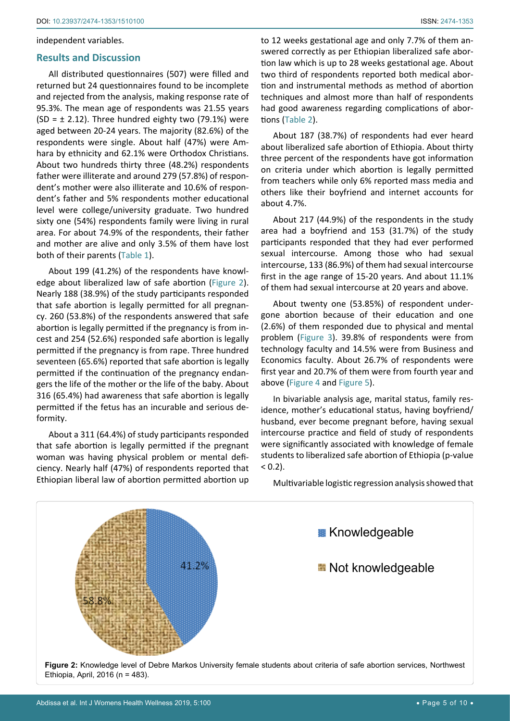#### independent variables.

#### **Results and Discussion**

All distributed questionnaires (507) were filled and returned but 24 questionnaires found to be incomplete and rejected from the analysis, making response rate of 95.3%. The mean age of respondents was 21.55 years (SD =  $\pm$  2.12). Three hundred eighty two (79.1%) were aged between 20-24 years. The majority (82.6%) of the respondents were single. About half (47%) were Amhara by ethnicity and 62.1% were Orthodox Christians. About two hundreds thirty three (48.2%) respondents father were illiterate and around 279 (57.8%) of respondent's mother were also illiterate and 10.6% of respondent's father and 5% respondents mother educational level were college/university graduate. Two hundred sixty one (54%) respondents family were living in rural area. For about 74.9% of the respondents, their father and mother are alive and only 3.5% of them have lost both of their parents (Table 1).

About 199 (41.2%) of the respondents have knowledge about liberalized law of safe abortion (Figure 2). Nearly 188 (38.9%) of the study participants responded that safe abortion is legally permitted for all pregnancy. 260 (53.8%) of the respondents answered that safe abortion is legally permitted if the pregnancy is from incest and 254 (52.6%) responded safe abortion is legally permitted if the pregnancy is from rape. Three hundred seventeen (65.6%) reported that safe abortion is legally permitted if the continuation of the pregnancy endangers the life of the mother or the life of the baby. About 316 (65.4%) had awareness that safe abortion is legally permitted if the fetus has an incurable and serious deformity.

About a 311 (64.4%) of study participants responded that safe abortion is legally permitted if the pregnant woman was having physical problem or mental deficiency. Nearly half (47%) of respondents reported that Ethiopian liberal law of abortion permitted abortion up to 12 weeks gestational age and only 7.7% of them answered correctly as per Ethiopian liberalized safe abortion law which is up to 28 weeks gestational age. About two third of respondents reported both medical abortion and instrumental methods as method of abortion techniques and almost more than half of respondents had good awareness regarding complications of abortions (Table 2).

About 187 (38.7%) of respondents had ever heard about liberalized safe abortion of Ethiopia. About thirty three percent of the respondents have got information on criteria under which abortion is legally permitted from teachers while only 6% reported mass media and others like their boyfriend and internet accounts for about 4.7%.

About 217 (44.9%) of the respondents in the study area had a boyfriend and 153 (31.7%) of the study participants responded that they had ever performed sexual intercourse. Among those who had sexual intercourse, 133 (86.9%) of them had sexual intercourse first in the age range of 15-20 years. And about 11.1% of them had sexual intercourse at 20 years and above.

About twenty one (53.85%) of respondent undergone abortion because of their education and one (2.6%) of them responded due to physical and mental problem (Figure 3). 39.8% of respondents were from technology faculty and 14.5% were from Business and Economics faculty. About 26.7% of respondents were first year and 20.7% of them were from fourth year and above (Figure 4 and Figure 5).

In bivariable analysis age, marital status, family residence, mother's educational status, having boyfriend/ husband, ever become pregnant before, having sexual intercourse practice and field of study of respondents were significantly associated with knowledge of female students to liberalized safe abortion of Ethiopia (p-value  $< 0.2$ ).



## Multivariable logistic regression analysis showed that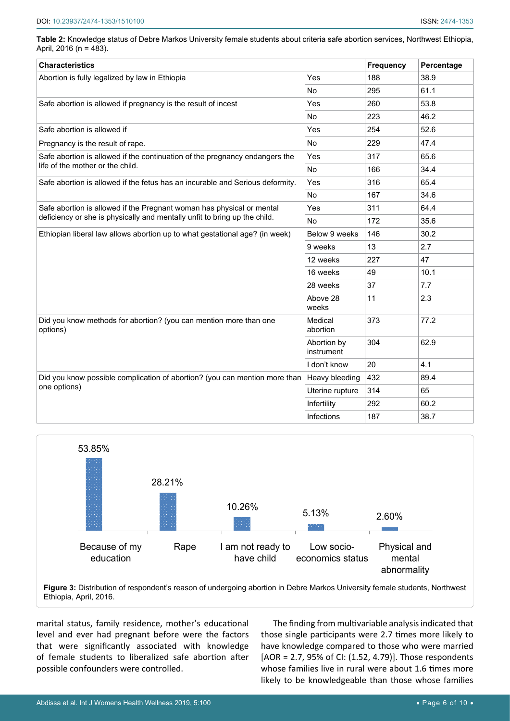| Table 2: Knowledge status of Debre Markos University female students about criteria safe abortion services, Northwest Ethiopia, |  |
|---------------------------------------------------------------------------------------------------------------------------------|--|
| April, 2016 (n = 483).                                                                                                          |  |

| <b>Characteristics</b>                                                        |                           | <b>Frequency</b> | Percentage |
|-------------------------------------------------------------------------------|---------------------------|------------------|------------|
| Abortion is fully legalized by law in Ethiopia                                | Yes                       | 188              | 38.9       |
|                                                                               | <b>No</b>                 | 295              | 61.1       |
| Safe abortion is allowed if pregnancy is the result of incest                 | Yes                       | 260              | 53.8       |
|                                                                               | <b>No</b>                 | 223              | 46.2       |
| Safe abortion is allowed if                                                   | Yes                       | 254              | 52.6       |
| Pregnancy is the result of rape.                                              | No                        | 229              | 47.4       |
| Safe abortion is allowed if the continuation of the pregnancy endangers the   | Yes                       | 317              | 65.6       |
| life of the mother or the child.                                              | <b>No</b>                 | 166              | 34.4       |
| Safe abortion is allowed if the fetus has an incurable and Serious deformity. | Yes                       | 316              | 65.4       |
|                                                                               | <b>No</b>                 | 167              | 34.6       |
| Safe abortion is allowed if the Pregnant woman has physical or mental         | Yes                       | 311              | 64.4       |
| deficiency or she is physically and mentally unfit to bring up the child.     | <b>No</b>                 | 172              | 35.6       |
| Ethiopian liberal law allows abortion up to what gestational age? (in week)   | Below 9 weeks             | 146              | 30.2       |
|                                                                               | 9 weeks                   | 13               | 2.7        |
|                                                                               | 12 weeks                  | 227              | 47         |
|                                                                               | 16 weeks                  | 49               | 10.1       |
|                                                                               | 28 weeks                  | 37               | 7.7        |
|                                                                               | Above 28<br>weeks         | 11               | 2.3        |
| Did you know methods for abortion? (you can mention more than one<br>options) | Medical<br>abortion       | 373              | 77.2       |
|                                                                               | Abortion by<br>instrument | 304              | 62.9       |
|                                                                               | I don't know              | 20               | 4.1        |
| Did you know possible complication of abortion? (you can mention more than    | Heavy bleeding            | 432              | 89.4       |
| one options)                                                                  | Uterine rupture           | 314              | 65         |
|                                                                               | Infertility               | 292              | 60.2       |
|                                                                               | <b>Infections</b>         | 187              | 38.7       |



marital status, family residence, mother's educational level and ever had pregnant before were the factors that were significantly associated with knowledge of female students to liberalized safe abortion after possible confounders were controlled.

The finding from multivariable analysis indicated that those single participants were 2.7 times more likely to have knowledge compared to those who were married [AOR = 2.7, 95% of CI: (1.52, 4.79)]. Those respondents whose families live in rural were about 1.6 times more likely to be knowledgeable than those whose families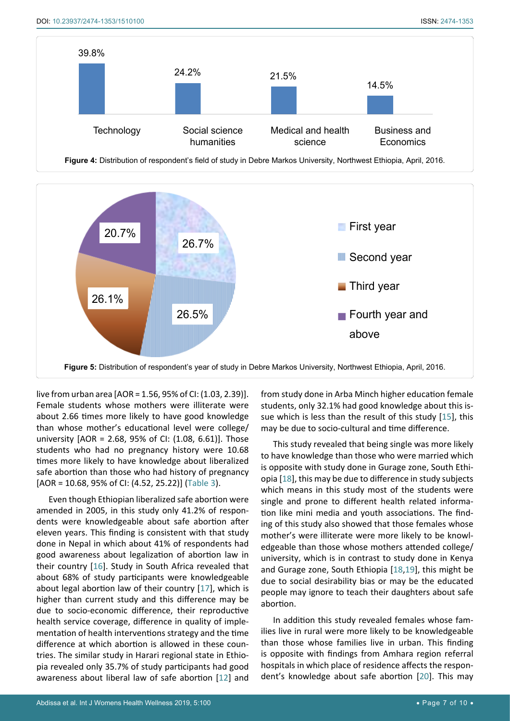



live from urban area [AOR = 1.56, 95% of CI: (1.03, 2.39)]. Female students whose mothers were illiterate were about 2.66 times more likely to have good knowledge than whose mother's educational level were college/ university [AOR = 2.68, 95% of CI: (1.08, 6.61)]. Those students who had no pregnancy history were 10.68 times more likely to have knowledge about liberalized safe abortion than those who had history of pregnancy [AOR = 10.68, 95% of CI: (4.52, 25.22)] (Table 3).

Even though Ethiopian liberalized safe abortion were amended in 2005, in this study only 41.2% of respondents were knowledgeable about safe abortion after eleven years. This finding is consistent with that study done in Nepal in which about 41% of respondents had good awareness about legalization of abortion law in their country [[16](#page-9-9)]. Study in South Africa revealed that about 68% of study participants were knowledgeable about legal abortion law of their country [[17\]](#page-9-10), which is higher than current study and this difference may be due to socio-economic difference, their reproductive health service coverage, difference in quality of implementation of health interventions strategy and the time difference at which abortion is allowed in these countries. The similar study in Harari regional state in Ethiopia revealed only 35.7% of study participants had good awareness about liberal law of safe abortion [[12\]](#page-9-3) and from study done in Arba Minch higher education female students, only 32.1% had good knowledge about this issue which is less than the result of this study [\[15](#page-9-0)], this may be due to socio-cultural and time difference.

This study revealed that being single was more likely to have knowledge than those who were married which is opposite with study done in Gurage zone, South Ethiopia [\[18\]](#page-9-6), this may be due to difference in study subjects which means in this study most of the students were single and prone to different health related information like mini media and youth associations. The finding of this study also showed that those females whose mother's were illiterate were more likely to be knowledgeable than those whose mothers attended college/ university, which is in contrast to study done in Kenya and Gurage zone, South Ethiopia [\[18](#page-9-6)[,19](#page-9-7)], this might be due to social desirability bias or may be the educated people may ignore to teach their daughters about safe abortion.

In addition this study revealed females whose families live in rural were more likely to be knowledgeable than those whose families live in urban. This finding is opposite with findings from Amhara region referral hospitals in which place of residence affects the respondent's knowledge about safe abortion [[20](#page-9-8)]. This may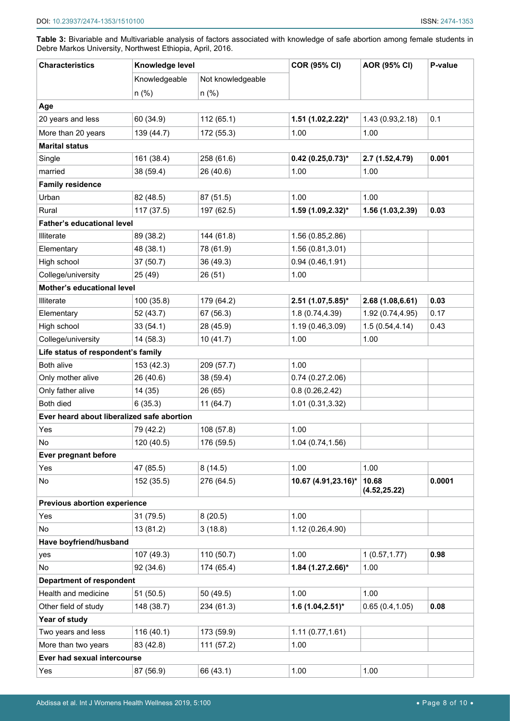| <b>Characteristics</b>                     | Knowledge level |                   | <b>COR (95% CI)</b>    | <b>AOR (95% CI)</b>    | P-value |
|--------------------------------------------|-----------------|-------------------|------------------------|------------------------|---------|
|                                            | Knowledgeable   | Not knowledgeable |                        |                        |         |
|                                            | $n$ (%)         | $n$ (%)           |                        |                        |         |
| Age                                        |                 |                   |                        |                        |         |
| 20 years and less                          | 60 (34.9)       | 112 (65.1)        | $1.51$ (1.02,2.22)*    | 1.43 (0.93,2.18)       | 0.1     |
| More than 20 years                         | 139 (44.7)      | 172 (55.3)        | 1.00                   | 1.00                   |         |
| <b>Marital status</b>                      |                 |                   |                        |                        |         |
| Single                                     | 161 (38.4)      | 258 (61.6)        | $0.42$ (0.25,0.73)*    | 2.7 (1.52,4.79)        | 0.001   |
| married                                    | 38 (59.4)       | 26 (40.6)         | 1.00                   | 1.00                   |         |
| <b>Family residence</b>                    |                 |                   |                        |                        |         |
| Urban                                      | 82 (48.5)       | 87 (51.5)         | 1.00                   | 1.00                   |         |
| Rural                                      | 117 (37.5)      | 197 (62.5)        | 1.59 (1.09,2.32)*      | 1.56 (1.03,2.39)       | 0.03    |
| <b>Father's educational level</b>          |                 |                   |                        |                        |         |
| Illiterate                                 | 89 (38.2)       | 144 (61.8)        | 1.56 (0.85,2.86)       |                        |         |
| Elementary                                 | 48 (38.1)       | 78 (61.9)         | 1.56 (0.81,3.01)       |                        |         |
| High school                                | 37 (50.7)       | 36 (49.3)         | 0.94(0.46, 1.91)       |                        |         |
| College/university                         | 25 (49)         | 26 (51)           | 1.00                   |                        |         |
| Mother's educational level                 |                 |                   |                        |                        |         |
| Illiterate                                 | 100 (35.8)      | 179 (64.2)        | $2.51(1.07, 5.85)^{*}$ | 2.68(1.08, 6.61)       | 0.03    |
| Elementary                                 | 52 (43.7)       | 67 (56.3)         | 1.8(0.74, 4.39)        | 1.92 (0.74,4.95)       | 0.17    |
| High school                                | 33(54.1)        | 28 (45.9)         | 1.19 (0.46,3.09)       | 1.5(0.54, 4.14)        | 0.43    |
| College/university                         | 14 (58.3)       | 10(41.7)          | 1.00                   | 1.00                   |         |
| Life status of respondent's family         |                 |                   |                        |                        |         |
| Both alive                                 | 153 (42.3)      | 209 (57.7)        | 1.00                   |                        |         |
| Only mother alive                          | 26 (40.6)       | 38 (59.4)         | 0.74(0.27, 2.06)       |                        |         |
| Only father alive                          | 14 (35)         | 26 (65)           | 0.8(0.26, 2.42)        |                        |         |
| Both died                                  | 6(35.3)         | 11(64.7)          | 1.01 (0.31,3.32)       |                        |         |
| Ever heard about liberalized safe abortion |                 |                   |                        |                        |         |
| Yes                                        | 79 (42.2)       | 108 (57.8)        | 1.00                   |                        |         |
| N0                                         | 120 (40.5)      | 176 (59.5)        | 1.04 (0.74,1.56)       |                        |         |
| Ever pregnant before                       |                 |                   |                        |                        |         |
| Yes                                        | 47 (85.5)       | 8(14.5)           | 1.00                   | 1.00                   |         |
| No                                         | 152 (35.5)      | 276 (64.5)        | 10.67 (4.91,23.16)*    | 10.68<br>(4.52, 25.22) | 0.0001  |
| <b>Previous abortion experience</b>        |                 |                   |                        |                        |         |
| Yes                                        | 31 (79.5)       | 8(20.5)           | 1.00                   |                        |         |
| No                                         | 13 (81.2)       | 3(18.8)           | 1.12 (0.26,4.90)       |                        |         |
| Have boyfriend/husband                     |                 |                   |                        |                        |         |
| yes                                        | 107 (49.3)      | 110 (50.7)        | 1.00                   | 1(0.57, 1.77)          | 0.98    |
| No                                         | 92 (34.6)       | 174 (65.4)        | 1.84 (1.27, 2.66)*     | 1.00                   |         |
| <b>Department of respondent</b>            |                 |                   |                        |                        |         |
| Health and medicine                        | 51 (50.5)       | 50 (49.5)         | 1.00                   | 1.00                   |         |
| Other field of study                       | 148 (38.7)      | 234 (61.3)        | $1.6(1.04, 2.51)^{*}$  | 0.65(0.4, 1.05)        | 0.08    |
| Year of study                              |                 |                   |                        |                        |         |
| Two years and less                         | 116 (40.1)      | 173 (59.9)        | 1.11(0.77, 1.61)       |                        |         |
| More than two years                        | 83 (42.8)       | 111 (57.2)        | 1.00                   |                        |         |
| Ever had sexual intercourse                |                 |                   |                        |                        |         |
| Yes                                        | 87 (56.9)       | 66 (43.1)         | 1.00                   | 1.00                   |         |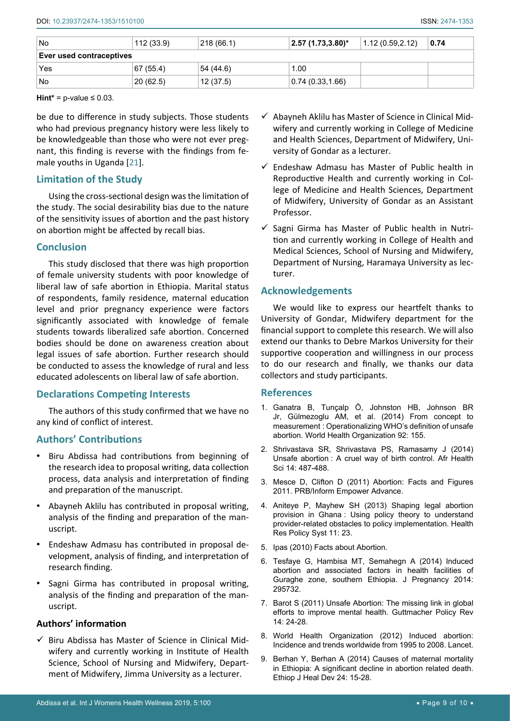| No                       | 112 (33.9) | 218 (66.1) | $\pm 2.57$ (1.73,3.80)* | 1.12(0.59, 2.12) | 0.74 |
|--------------------------|------------|------------|-------------------------|------------------|------|
| Ever used contraceptives |            |            |                         |                  |      |
| Yes                      | 67 (55.4)  | 54 (44.6)  | 1.00                    |                  |      |
| No                       | 20(62.5)   | 12(37.5)   | 0.74(0.33, 1.66)        |                  |      |

**Hint\*** =  $p$ -value  $\leq 0.03$ .

be due to difference in study subjects. Those students who had previous pregnancy history were less likely to be knowledgeable than those who were not ever pregnant, this finding is reverse with the findings from female youths in Uganda [[21](#page-9-11)].

# **Limitation of the Study**

Using the cross-sectional design was the limitation of the study. The social desirability bias due to the nature of the sensitivity issues of abortion and the past history on abortion might be affected by recall bias.

# **Conclusion**

This study disclosed that there was high proportion of female university students with poor knowledge of liberal law of safe abortion in Ethiopia. Marital status of respondents, family residence, maternal education level and prior pregnancy experience were factors significantly associated with knowledge of female students towards liberalized safe abortion. Concerned bodies should be done on awareness creation about legal issues of safe abortion. Further research should be conducted to assess the knowledge of rural and less educated adolescents on liberal law of safe abortion.

# **Declarations Competing Interests**

The authors of this study confirmed that we have no any kind of conflict of interest.

# **Authors' Contributions**

- • Biru Abdissa had contributions from beginning of the research idea to proposal writing, data collection process, data analysis and interpretation of finding and preparation of the manuscript.
- • Abayneh Aklilu has contributed in proposal writing, analysis of the finding and preparation of the manuscript.
- Endeshaw Admasu has contributed in proposal development, analysis of finding, and interpretation of research finding.
- Sagni Girma has contributed in proposal writing, analysis of the finding and preparation of the manuscript.

# **Authors' information**

 $\checkmark$  Biru Abdissa has Master of Science in Clinical Midwifery and currently working in Institute of Health Science, School of Nursing and Midwifery, Department of Midwifery, Jimma University as a lecturer.

- $\checkmark$  Abayneh Aklilu has Master of Science in Clinical Midwifery and currently working in College of Medicine and Health Sciences, Department of Midwifery, University of Gondar as a lecturer.
- $\checkmark$  Endeshaw Admasu has Master of Public health in Reproductive Health and currently working in College of Medicine and Health Sciences, Department of Midwifery, University of Gondar as an Assistant Professor.
- $\checkmark$  Sagni Girma has Master of Public health in Nutrition and currently working in College of Health and Medical Sciences, School of Nursing and Midwifery, Department of Nursing, Haramaya University as lecturer.

# **Acknowledgements**

We would like to express our heartfelt thanks to University of Gondar, Midwifery department for the financial support to complete this research. We will also extend our thanks to Debre Markos University for their supportive cooperation and willingness in our process to do our research and finally, we thanks our data collectors and study participants.

# **References**

- <span id="page-8-0"></span>1. [Ganatra B, Tunçalp Ö, Johnston HB, Johnson BR](https://www.ncbi.nlm.nih.gov/pubmed/24700971)  [Jr, Gülmezoglu AM, et al. \(2014\) From concept to](https://www.ncbi.nlm.nih.gov/pubmed/24700971)  measurement [: Operationalizing WHO's definition of unsafe](https://www.ncbi.nlm.nih.gov/pubmed/24700971)  [abortion. World Health Organization 92: 155.](https://www.ncbi.nlm.nih.gov/pubmed/24700971)
- <span id="page-8-1"></span>2. [Shrivastava SR, Shrivastava PS, Ramasamy J \(2014\)](https://www.ncbi.nlm.nih.gov/pubmed/25320603)  Unsafe abortion [: A cruel way of birth control. Afr Health](https://www.ncbi.nlm.nih.gov/pubmed/25320603)  [Sci 14: 487-488.](https://www.ncbi.nlm.nih.gov/pubmed/25320603)
- <span id="page-8-2"></span>3. [Mesce D, Clifton D \(2011\) Abortion: Facts and Figures](https://www.prb.org/abortion-facts-figures-2011/)  [2011. PRB/Inform Empower Advance.](https://www.prb.org/abortion-facts-figures-2011/)
- <span id="page-8-3"></span>4. [Aniteye P, Mayhew SH \(2013\) Shaping legal abortion](https://www.ncbi.nlm.nih.gov/pubmed/23829555)  provision in Ghana [: Using policy theory to understand](https://www.ncbi.nlm.nih.gov/pubmed/23829555)  [provider-related obstacles to policy implementation. Health](https://www.ncbi.nlm.nih.gov/pubmed/23829555)  [Res Policy Syst 11: 23.](https://www.ncbi.nlm.nih.gov/pubmed/23829555)
- <span id="page-8-4"></span>5. Ipas (2010) Facts about Abortion.
- <span id="page-8-5"></span>6. [Tesfaye G, Hambisa MT, Semahegn A \(2014\) Induced](https://www.ncbi.nlm.nih.gov/pmc/articles/PMC3988865/?tool=pmcentrez&report=abstract)  [abortion and associated factors in health facilities of](https://www.ncbi.nlm.nih.gov/pmc/articles/PMC3988865/?tool=pmcentrez&report=abstract)  [Guraghe zone, southern Ethiopia. J Pregnancy 2014:](https://www.ncbi.nlm.nih.gov/pmc/articles/PMC3988865/?tool=pmcentrez&report=abstract)  [295732.](https://www.ncbi.nlm.nih.gov/pmc/articles/PMC3988865/?tool=pmcentrez&report=abstract)
- <span id="page-8-6"></span>7. [Barot S \(2011\) Unsafe Abortion: The missing link in global](https://www.guttmacher.org/gpr/2011/06/unsafe-abortion-missing-link-global-efforts-improve-maternal-health)  [efforts to improve mental health. Guttmacher Policy Rev](https://www.guttmacher.org/gpr/2011/06/unsafe-abortion-missing-link-global-efforts-improve-maternal-health)  [14: 24-28.](https://www.guttmacher.org/gpr/2011/06/unsafe-abortion-missing-link-global-efforts-improve-maternal-health)
- <span id="page-8-7"></span>8. [World Health Organization \(2012\) Induced abortion:](https://www.thelancet.com/journals/lancet/article/PIIS0140-6736(11)61786-8/fulltext)  [Incidence and trends worldwide from 1995 to 2008. Lancet.](https://www.thelancet.com/journals/lancet/article/PIIS0140-6736(11)61786-8/fulltext)
- <span id="page-8-8"></span>9. [Berhan Y, Berhan A \(2014\) Causes of maternal mortality](https://www.ncbi.nlm.nih.gov/pmc/articles/PMC4249203/)  [in Ethiopia: A significant decline in abortion related death.](https://www.ncbi.nlm.nih.gov/pmc/articles/PMC4249203/)  [Ethiop J Heal Dev 24: 15-28.](https://www.ncbi.nlm.nih.gov/pmc/articles/PMC4249203/)